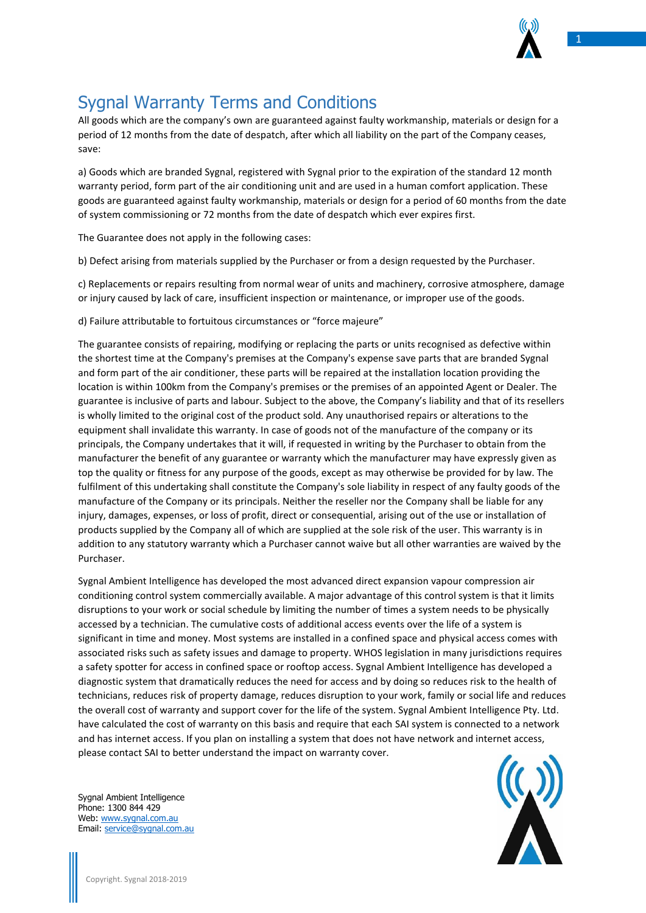

1

## Sygnal Warranty Terms and Conditions

All goods which are the company's own are guaranteed against faulty workmanship, materials or design for a period of 12 months from the date of despatch, after which all liability on the part of the Company ceases, save:

a) Goods which are branded Sygnal, registered with Sygnal prior to the expiration of the standard 12 month warranty period, form part of the air conditioning unit and are used in a human comfort application. These goods are guaranteed against faulty workmanship, materials or design for a period of 60 months from the date of system commissioning or 72 months from the date of despatch which ever expires first.

The Guarantee does not apply in the following cases:

b) Defect arising from materials supplied by the Purchaser or from a design requested by the Purchaser.

c) Replacements or repairs resulting from normal wear of units and machinery, corrosive atmosphere, damage or injury caused by lack of care, insufficient inspection or maintenance, or improper use of the goods.

d) Failure attributable to fortuitous circumstances or "force majeure"

The guarantee consists of repairing, modifying or replacing the parts or units recognised as defective within the shortest time at the Company's premises at the Company's expense save parts that are branded Sygnal and form part of the air conditioner, these parts will be repaired at the installation location providing the location is within 100km from the Company's premises or the premises of an appointed Agent or Dealer. The guarantee is inclusive of parts and labour. Subject to the above, the Company's liability and that of its resellers is wholly limited to the original cost of the product sold. Any unauthorised repairs or alterations to the equipment shall invalidate this warranty. In case of goods not of the manufacture of the company or its principals, the Company undertakes that it will, if requested in writing by the Purchaser to obtain from the manufacturer the benefit of any guarantee or warranty which the manufacturer may have expressly given as top the quality or fitness for any purpose of the goods, except as may otherwise be provided for by law. The fulfilment of this undertaking shall constitute the Company's sole liability in respect of any faulty goods of the manufacture of the Company or its principals. Neither the reseller nor the Company shall be liable for any injury, damages, expenses, or loss of profit, direct or consequential, arising out of the use or installation of products supplied by the Company all of which are supplied at the sole risk of the user. This warranty is in addition to any statutory warranty which a Purchaser cannot waive but all other warranties are waived by the Purchaser.

Sygnal Ambient Intelligence has developed the most advanced direct expansion vapour compression air conditioning control system commercially available. A major advantage of this control system is that it limits disruptions to your work or social schedule by limiting the number of times a system needs to be physically accessed by a technician. The cumulative costs of additional access events over the life of a system is significant in time and money. Most systems are installed in a confined space and physical access comes with associated risks such as safety issues and damage to property. WHOS legislation in many jurisdictions requires a safety spotter for access in confined space or rooftop access. Sygnal Ambient Intelligence has developed a diagnostic system that dramatically reduces the need for access and by doing so reduces risk to the health of technicians, reduces risk of property damage, reduces disruption to your work, family or social life and reduces the overall cost of warranty and support cover for the life of the system. Sygnal Ambient Intelligence Pty. Ltd. have calculated the cost of warranty on this basis and require that each SAI system is connected to a network and has internet access. If you plan on installing a system that does not have network and internet access, please contact SAI to better understand the impact on warranty cover.



Sygnal Ambient Intelligence Phone: 1300 844 429 Web: [www.sygnal.com.au](http://www.sygnal.com.au/) Email: [service@sygnal.com.au](mailto:service@sygnal.com.au)